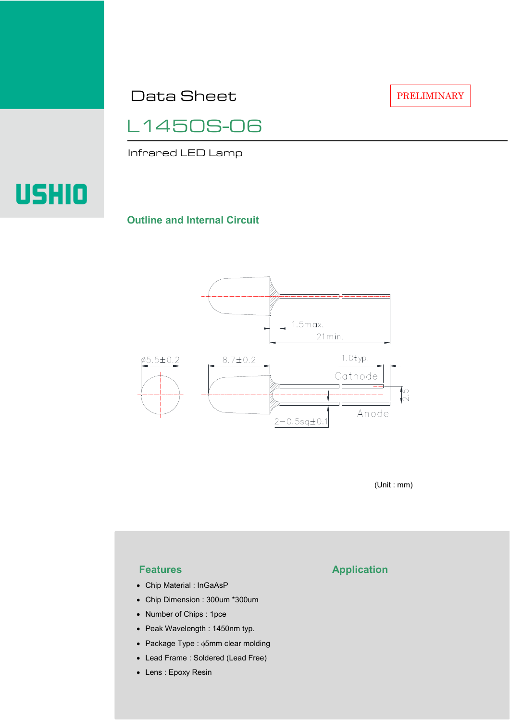Data Sheet

PRELIMINARY

L1450S-06

Infrared LED Lamp

# USHIO

#### **Outline and Internal Circuit**



(Unit : mm)

- Chip Material : InGaAsP
- Chip Dimension : 300um \*300um
- Number of Chips : 1pce
- Peak Wavelength : 1450nm typ.
- Package Type : φ5mm clear molding
- Lead Frame : Soldered (Lead Free)
- Lens : Epoxy Resin

## **Features Application**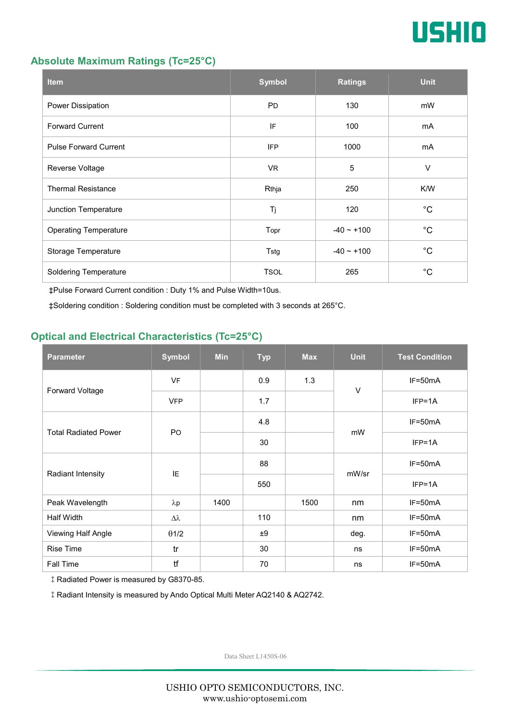

#### **Absolute Maximum Ratings (Tc=25°C)**

| <b>Item</b>                  | <b>Symbol</b> | <b>Ratings</b>  | <b>Unit</b> |
|------------------------------|---------------|-----------------|-------------|
| Power Dissipation            | <b>PD</b>     | 130             | mW          |
| <b>Forward Current</b>       | IF            | 100             | mA          |
| <b>Pulse Forward Current</b> | <b>IFP</b>    | 1000            | mA          |
| Reverse Voltage              | VR.           | $\overline{5}$  | $\vee$      |
| <b>Thermal Resistance</b>    | Rthja         | 250             | K/W         |
| Junction Temperature         | Tj            | 120             | $^{\circ}C$ |
| <b>Operating Temperature</b> | Topr          | $-40 \sim +100$ | $^{\circ}C$ |
| Storage Temperature          | Tstg          | $-40 - +100$    | $^{\circ}C$ |
| <b>Soldering Temperature</b> | <b>TSOL</b>   | 265             | $^{\circ}C$ |

‡Pulse Forward Current condition : Duty 1% and Pulse Width=10us.

‡Soldering condition : Soldering condition must be completed with 3 seconds at 265°C.

### **Optical and Electrical Characteristics (Tc=25°C)**

| <b>Parameter</b>            | <b>Symbol</b>  | <b>Min</b> | <b>Typ</b> | <b>Max</b> | <b>Unit</b> | <b>Test Condition</b> |
|-----------------------------|----------------|------------|------------|------------|-------------|-----------------------|
| Forward Voltage             | <b>VF</b>      |            | 0.9        | 1.3        | $\vee$      | IF=50mA               |
|                             | <b>VFP</b>     |            | 1.7        |            |             | $IFP=1A$              |
| <b>Total Radiated Power</b> | P <sub>O</sub> |            | 4.8        |            | mW          | $IF=50mA$             |
|                             |                |            | 30         |            |             | $IFP=1A$              |
| Radiant Intensity           | IE             |            | 88         |            | mW/sr       | $IF=50mA$             |
|                             |                |            | 550        |            |             | $IFP=1A$              |
| Peak Wavelength             | $\lambda p$    | 1400       |            | 1500       | nm          | $IF=50mA$             |
| Half Width                  | Δλ             |            | 110        |            | nm          | $IF=50mA$             |
| Viewing Half Angle          | $\theta$ 1/2   |            | ±9         |            | deg.        | $IF=50mA$             |
| <b>Rise Time</b>            | tr             |            | 30         |            | ns          | $IF=50mA$             |
| <b>Fall Time</b>            | tf             |            | 70         |            | ns          | $IF=50mA$             |

‡Radiated Power is measured by G8370-85.

‡Radiant Intensity is measured by Ando Optical Multi Meter AQ2140 & AQ2742.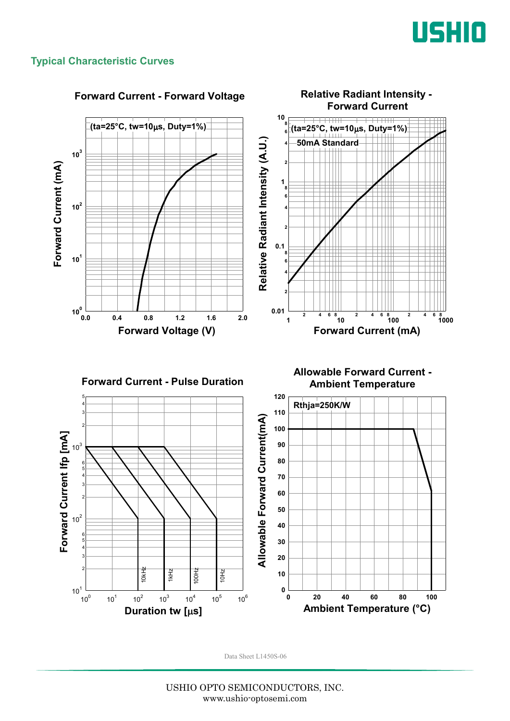

#### **Typical Characteristic Curves**

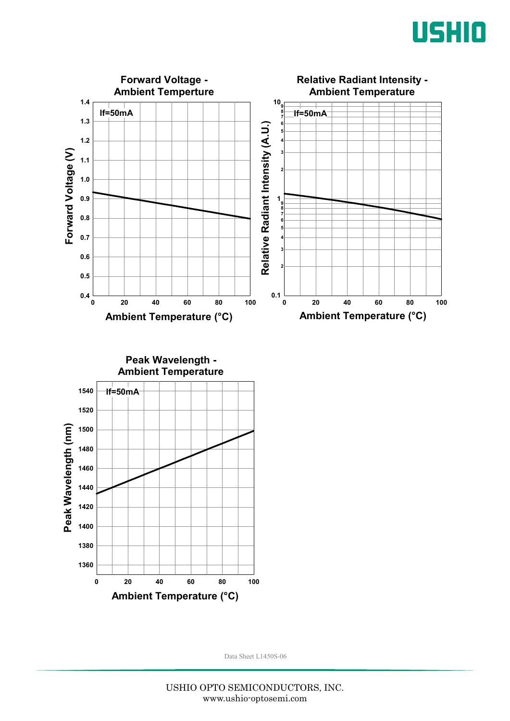



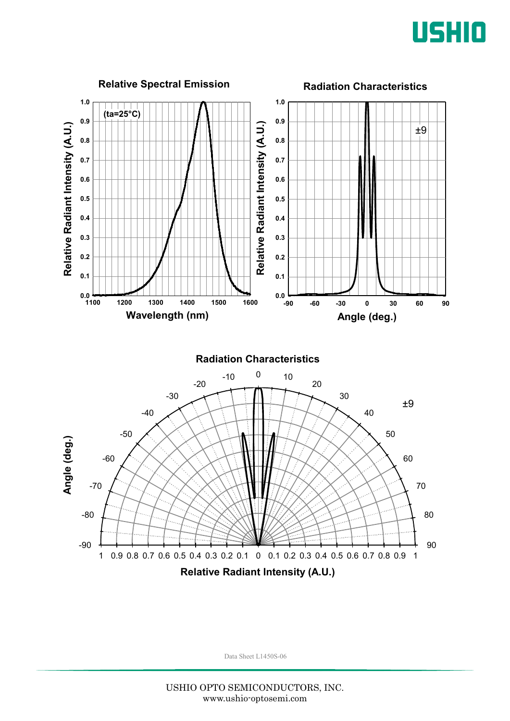